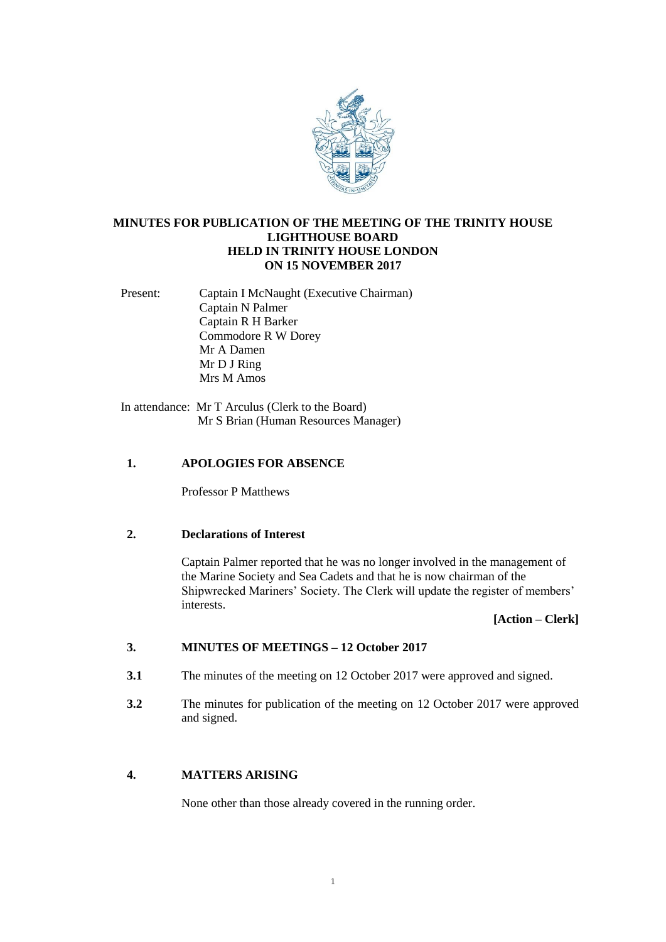

# **MINUTES FOR PUBLICATION OF THE MEETING OF THE TRINITY HOUSE LIGHTHOUSE BOARD HELD IN TRINITY HOUSE LONDON ON 15 NOVEMBER 2017**

Present: Captain I McNaught (Executive Chairman) Captain N Palmer Captain R H Barker Commodore R W Dorey Mr A Damen Mr D J Ring Mrs M Amos

In attendance: Mr T Arculus (Clerk to the Board) Mr S Brian (Human Resources Manager)

# **1. APOLOGIES FOR ABSENCE**

Professor P Matthews

### **2. Declarations of Interest**

Captain Palmer reported that he was no longer involved in the management of the Marine Society and Sea Cadets and that he is now chairman of the Shipwrecked Mariners' Society. The Clerk will update the register of members' interests.

**[Action – Clerk]**

#### **3. MINUTES OF MEETINGS – 12 October 2017**

- **3.1** The minutes of the meeting on 12 October 2017 were approved and signed.
- **3.2** The minutes for publication of the meeting on 12 October 2017 were approved and signed.

# **4. MATTERS ARISING**

None other than those already covered in the running order.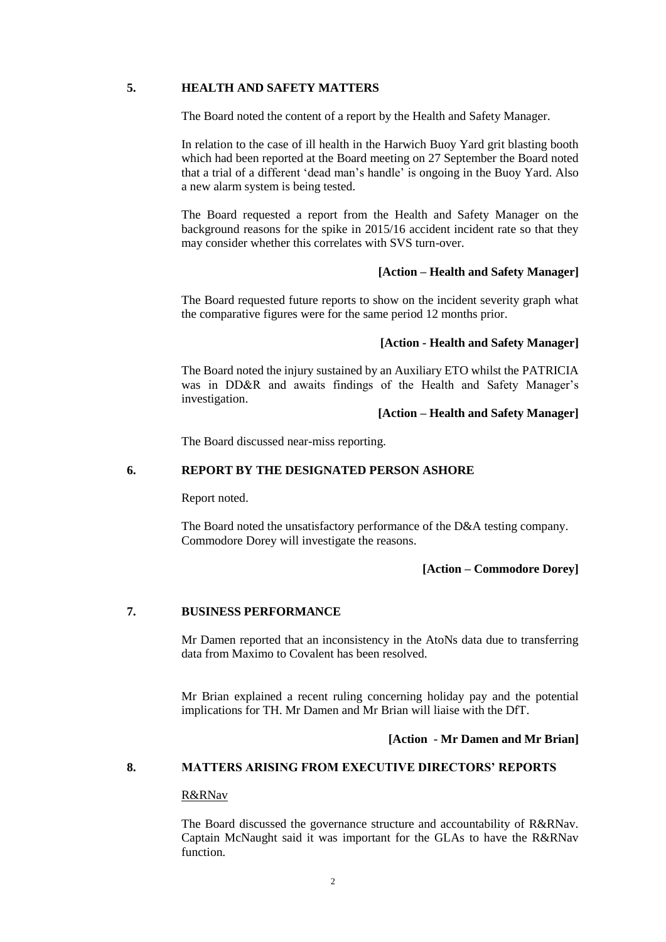### **5. HEALTH AND SAFETY MATTERS**

The Board noted the content of a report by the Health and Safety Manager.

In relation to the case of ill health in the Harwich Buoy Yard grit blasting booth which had been reported at the Board meeting on 27 September the Board noted that a trial of a different 'dead man's handle' is ongoing in the Buoy Yard. Also a new alarm system is being tested.

The Board requested a report from the Health and Safety Manager on the background reasons for the spike in 2015/16 accident incident rate so that they may consider whether this correlates with SVS turn-over.

### **[Action – Health and Safety Manager]**

The Board requested future reports to show on the incident severity graph what the comparative figures were for the same period 12 months prior.

### **[Action - Health and Safety Manager]**

The Board noted the injury sustained by an Auxiliary ETO whilst the PATRICIA was in DD&R and awaits findings of the Health and Safety Manager's investigation.

# **[Action – Health and Safety Manager]**

The Board discussed near-miss reporting.

# **6. REPORT BY THE DESIGNATED PERSON ASHORE**

Report noted.

The Board noted the unsatisfactory performance of the D&A testing company. Commodore Dorey will investigate the reasons.

# **[Action – Commodore Dorey]**

# **7. BUSINESS PERFORMANCE**

Mr Damen reported that an inconsistency in the AtoNs data due to transferring data from Maximo to Covalent has been resolved.

Mr Brian explained a recent ruling concerning holiday pay and the potential implications for TH. Mr Damen and Mr Brian will liaise with the DfT.

### **[Action - Mr Damen and Mr Brian]**

# **8. MATTERS ARISING FROM EXECUTIVE DIRECTORS' REPORTS**

### R&RNav

The Board discussed the governance structure and accountability of R&RNav. Captain McNaught said it was important for the GLAs to have the R&RNav function.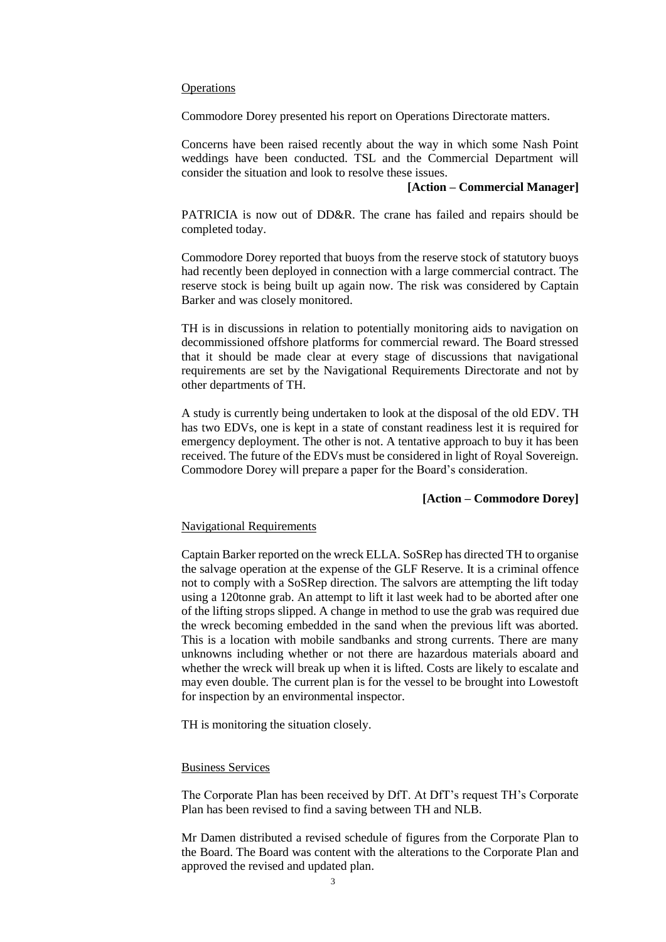### **Operations**

Commodore Dorey presented his report on Operations Directorate matters.

Concerns have been raised recently about the way in which some Nash Point weddings have been conducted. TSL and the Commercial Department will consider the situation and look to resolve these issues.

### **[Action – Commercial Manager]**

PATRICIA is now out of DD&R. The crane has failed and repairs should be completed today.

Commodore Dorey reported that buoys from the reserve stock of statutory buoys had recently been deployed in connection with a large commercial contract. The reserve stock is being built up again now. The risk was considered by Captain Barker and was closely monitored.

TH is in discussions in relation to potentially monitoring aids to navigation on decommissioned offshore platforms for commercial reward. The Board stressed that it should be made clear at every stage of discussions that navigational requirements are set by the Navigational Requirements Directorate and not by other departments of TH.

A study is currently being undertaken to look at the disposal of the old EDV. TH has two EDVs, one is kept in a state of constant readiness lest it is required for emergency deployment. The other is not. A tentative approach to buy it has been received. The future of the EDVs must be considered in light of Royal Sovereign. Commodore Dorey will prepare a paper for the Board's consideration.

# **[Action – Commodore Dorey]**

### Navigational Requirements

Captain Barker reported on the wreck ELLA. SoSRep has directed TH to organise the salvage operation at the expense of the GLF Reserve. It is a criminal offence not to comply with a SoSRep direction. The salvors are attempting the lift today using a 120tonne grab. An attempt to lift it last week had to be aborted after one of the lifting strops slipped. A change in method to use the grab was required due the wreck becoming embedded in the sand when the previous lift was aborted. This is a location with mobile sandbanks and strong currents. There are many unknowns including whether or not there are hazardous materials aboard and whether the wreck will break up when it is lifted. Costs are likely to escalate and may even double. The current plan is for the vessel to be brought into Lowestoft for inspection by an environmental inspector.

TH is monitoring the situation closely.

### Business Services

The Corporate Plan has been received by DfT. At DfT's request TH's Corporate Plan has been revised to find a saving between TH and NLB.

Mr Damen distributed a revised schedule of figures from the Corporate Plan to the Board. The Board was content with the alterations to the Corporate Plan and approved the revised and updated plan.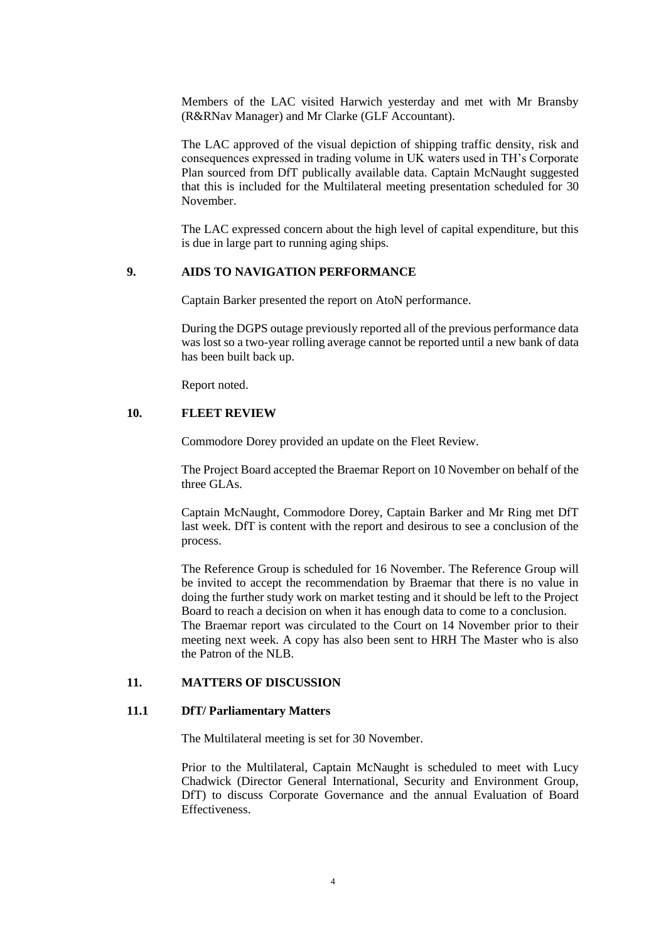Members of the LAC visited Harwich yesterday and met with Mr Bransby (R&RNav Manager) and Mr Clarke (GLF Accountant).

The LAC approved of the visual depiction of shipping traffic density, risk and consequences expressed in trading volume in UK waters used in TH's Corporate Plan sourced from DfT publically available data. Captain McNaught suggested that this is included for the Multilateral meeting presentation scheduled for 30 November.

The LAC expressed concern about the high level of capital expenditure, but this is due in large part to running aging ships.

### **9. AIDS TO NAVIGATION PERFORMANCE**

Captain Barker presented the report on AtoN performance.

During the DGPS outage previously reported all of the previous performance data was lost so a two-year rolling average cannot be reported until a new bank of data has been built back up.

Report noted.

### **10. FLEET REVIEW**

Commodore Dorey provided an update on the Fleet Review.

The Project Board accepted the Braemar Report on 10 November on behalf of the three GLAs.

Captain McNaught, Commodore Dorey, Captain Barker and Mr Ring met DfT last week. DfT is content with the report and desirous to see a conclusion of the process.

The Reference Group is scheduled for 16 November. The Reference Group will be invited to accept the recommendation by Braemar that there is no value in doing the further study work on market testing and it should be left to the Project Board to reach a decision on when it has enough data to come to a conclusion. The Braemar report was circulated to the Court on 14 November prior to their meeting next week. A copy has also been sent to HRH The Master who is also the Patron of the NLB.

#### **11. MATTERS OF DISCUSSION**

#### **11.1 DfT/ Parliamentary Matters**

The Multilateral meeting is set for 30 November.

Prior to the Multilateral, Captain McNaught is scheduled to meet with Lucy Chadwick (Director General International, Security and Environment Group, DfT) to discuss Corporate Governance and the annual Evaluation of Board Effectiveness.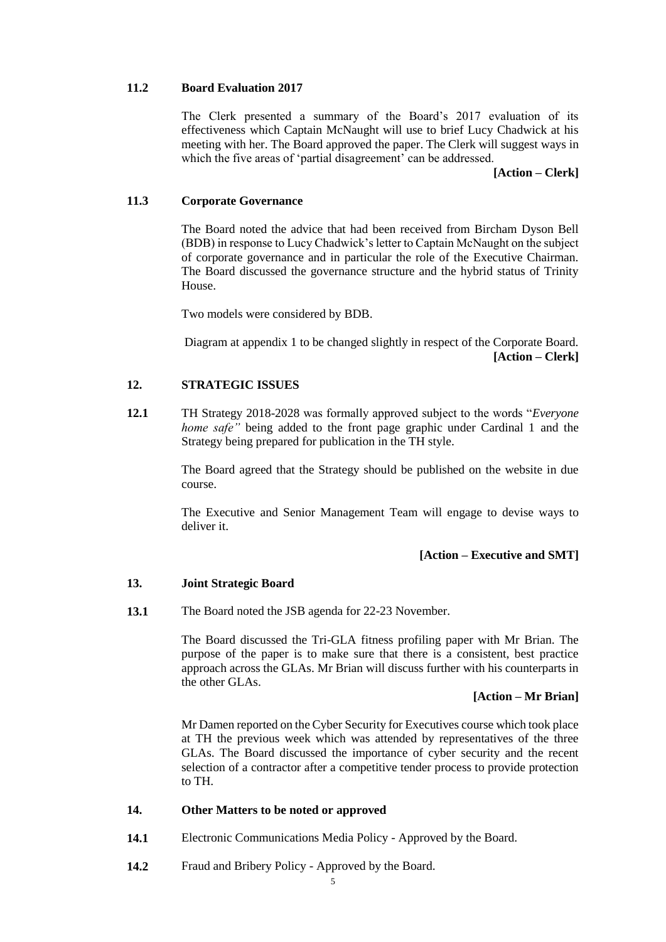#### **11.2 Board Evaluation 2017**

The Clerk presented a summary of the Board's 2017 evaluation of its effectiveness which Captain McNaught will use to brief Lucy Chadwick at his meeting with her. The Board approved the paper. The Clerk will suggest ways in which the five areas of 'partial disagreement' can be addressed.

**[Action – Clerk]**

#### **11.3 Corporate Governance**

The Board noted the advice that had been received from Bircham Dyson Bell (BDB) in response to Lucy Chadwick's letter to Captain McNaught on the subject of corporate governance and in particular the role of the Executive Chairman. The Board discussed the governance structure and the hybrid status of Trinity House.

Two models were considered by BDB.

Diagram at appendix 1 to be changed slightly in respect of the Corporate Board. **[Action – Clerk]**

#### **12. STRATEGIC ISSUES**

**12.1** TH Strategy 2018-2028 was formally approved subject to the words "*Everyone home safe*" being added to the front page graphic under Cardinal 1 and the Strategy being prepared for publication in the TH style.

> The Board agreed that the Strategy should be published on the website in due course.

> The Executive and Senior Management Team will engage to devise ways to deliver it.

### **[Action – Executive and SMT]**

#### **13. Joint Strategic Board**

**13.1**  The Board noted the JSB agenda for 22-23 November.

> The Board discussed the Tri-GLA fitness profiling paper with Mr Brian. The purpose of the paper is to make sure that there is a consistent, best practice approach across the GLAs. Mr Brian will discuss further with his counterparts in the other GLAs.

### **[Action – Mr Brian]**

Mr Damen reported on the Cyber Security for Executives course which took place at TH the previous week which was attended by representatives of the three GLAs. The Board discussed the importance of cyber security and the recent selection of a contractor after a competitive tender process to provide protection to TH.

#### **14. Other Matters to be noted or approved**

- **14.1**  Electronic Communications Media Policy - Approved by the Board.
- **14.2** Fraud and Bribery Policy - Approved by the Board.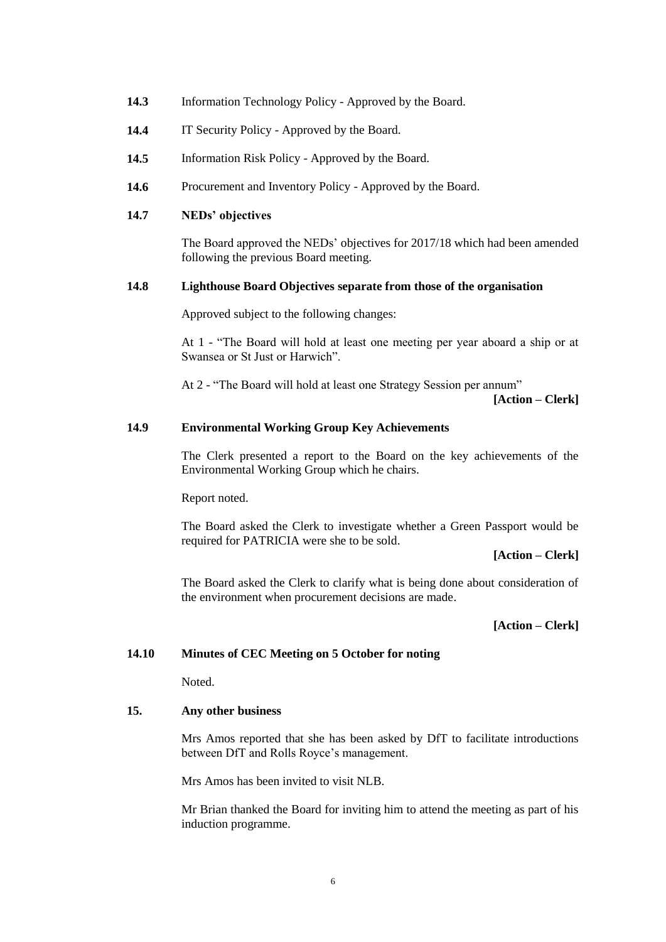- **14.3** Information Technology Policy - Approved by the Board.
- **14.4** IT Security Policy - Approved by the Board.
- **14.5** Information Risk Policy - Approved by the Board.
- **14.6**  Procurement and Inventory Policy - Approved by the Board.

### **14.7 NEDs' objectives**

The Board approved the NEDs' objectives for 2017/18 which had been amended following the previous Board meeting.

#### **14.8 Lighthouse Board Objectives separate from those of the organisation**

Approved subject to the following changes:

At 1 - "The Board will hold at least one meeting per year aboard a ship or at Swansea or St Just or Harwich".

At 2 - "The Board will hold at least one Strategy Session per annum"

**[Action – Clerk]**

#### **14.9 Environmental Working Group Key Achievements**

The Clerk presented a report to the Board on the key achievements of the Environmental Working Group which he chairs.

Report noted.

The Board asked the Clerk to investigate whether a Green Passport would be required for PATRICIA were she to be sold.

**[Action – Clerk]**

The Board asked the Clerk to clarify what is being done about consideration of the environment when procurement decisions are made.

**[Action – Clerk]**

### **14.10 Minutes of CEC Meeting on 5 October for noting**

Noted.

#### **15. Any other business**

Mrs Amos reported that she has been asked by DfT to facilitate introductions between DfT and Rolls Royce's management.

Mrs Amos has been invited to visit NLB.

Mr Brian thanked the Board for inviting him to attend the meeting as part of his induction programme.